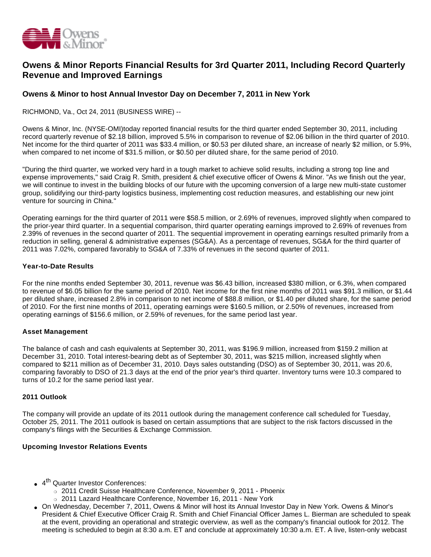

# **Owens & Minor Reports Financial Results for 3rd Quarter 2011, Including Record Quarterly Revenue and Improved Earnings**

# **Owens & Minor to host Annual Investor Day on December 7, 2011 in New York**

RICHMOND, Va., Oct 24, 2011 (BUSINESS WIRE) --

Owens & Minor, Inc. (NYSE-OMI)today reported financial results for the third quarter ended September 30, 2011, including record quarterly revenue of \$2.18 billion, improved 5.5% in comparison to revenue of \$2.06 billion in the third quarter of 2010. Net income for the third quarter of 2011 was \$33.4 million, or \$0.53 per diluted share, an increase of nearly \$2 million, or 5.9%, when compared to net income of \$31.5 million, or \$0.50 per diluted share, for the same period of 2010.

"During the third quarter, we worked very hard in a tough market to achieve solid results, including a strong top line and expense improvements," said Craig R. Smith, president & chief executive officer of Owens & Minor. "As we finish out the year, we will continue to invest in the building blocks of our future with the upcoming conversion of a large new multi-state customer group, solidifying our third-party logistics business, implementing cost reduction measures, and establishing our new joint venture for sourcing in China."

Operating earnings for the third quarter of 2011 were \$58.5 million, or 2.69% of revenues, improved slightly when compared to the prior-year third quarter. In a sequential comparison, third quarter operating earnings improved to 2.69% of revenues from 2.39% of revenues in the second quarter of 2011. The sequential improvement in operating earnings resulted primarily from a reduction in selling, general & administrative expenses (SG&A). As a percentage of revenues, SG&A for the third quarter of 2011 was 7.02%, compared favorably to SG&A of 7.33% of revenues in the second quarter of 2011.

#### **Year-to-Date Results**

For the nine months ended September 30, 2011, revenue was \$6.43 billion, increased \$380 million, or 6.3%, when compared to revenue of \$6.05 billion for the same period of 2010. Net income for the first nine months of 2011 was \$91.3 million, or \$1.44 per diluted share, increased 2.8% in comparison to net income of \$88.8 million, or \$1.40 per diluted share, for the same period of 2010. For the first nine months of 2011, operating earnings were \$160.5 million, or 2.50% of revenues, increased from operating earnings of \$156.6 million, or 2.59% of revenues, for the same period last year.

## **Asset Management**

The balance of cash and cash equivalents at September 30, 2011, was \$196.9 million, increased from \$159.2 million at December 31, 2010. Total interest-bearing debt as of September 30, 2011, was \$215 million, increased slightly when compared to \$211 million as of December 31, 2010. Days sales outstanding (DSO) as of September 30, 2011, was 20.6, comparing favorably to DSO of 21.3 days at the end of the prior year's third quarter. Inventory turns were 10.3 compared to turns of 10.2 for the same period last year.

#### **2011 Outlook**

The company will provide an update of its 2011 outlook during the management conference call scheduled for Tuesday, October 25, 2011. The 2011 outlook is based on certain assumptions that are subject to the risk factors discussed in the company's filings with the Securities & Exchange Commission.

#### **Upcoming Investor Relations Events**

- 4<sup>th</sup> Quarter Investor Conferences:
	- o 2011 Credit Suisse Healthcare Conference, November 9, 2011 Phoenix
	- o 2011 Lazard Healthcare Conference, November 16, 2011 New York
- On Wednesday, December 7, 2011, Owens & Minor will host its Annual Investor Day in New York. Owens & Minor's President & Chief Executive Officer Craig R. Smith and Chief Financial Officer James L. Bierman are scheduled to speak at the event, providing an operational and strategic overview, as well as the company's financial outlook for 2012. The meeting is scheduled to begin at 8:30 a.m. ET and conclude at approximately 10:30 a.m. ET. A live, listen-only webcast